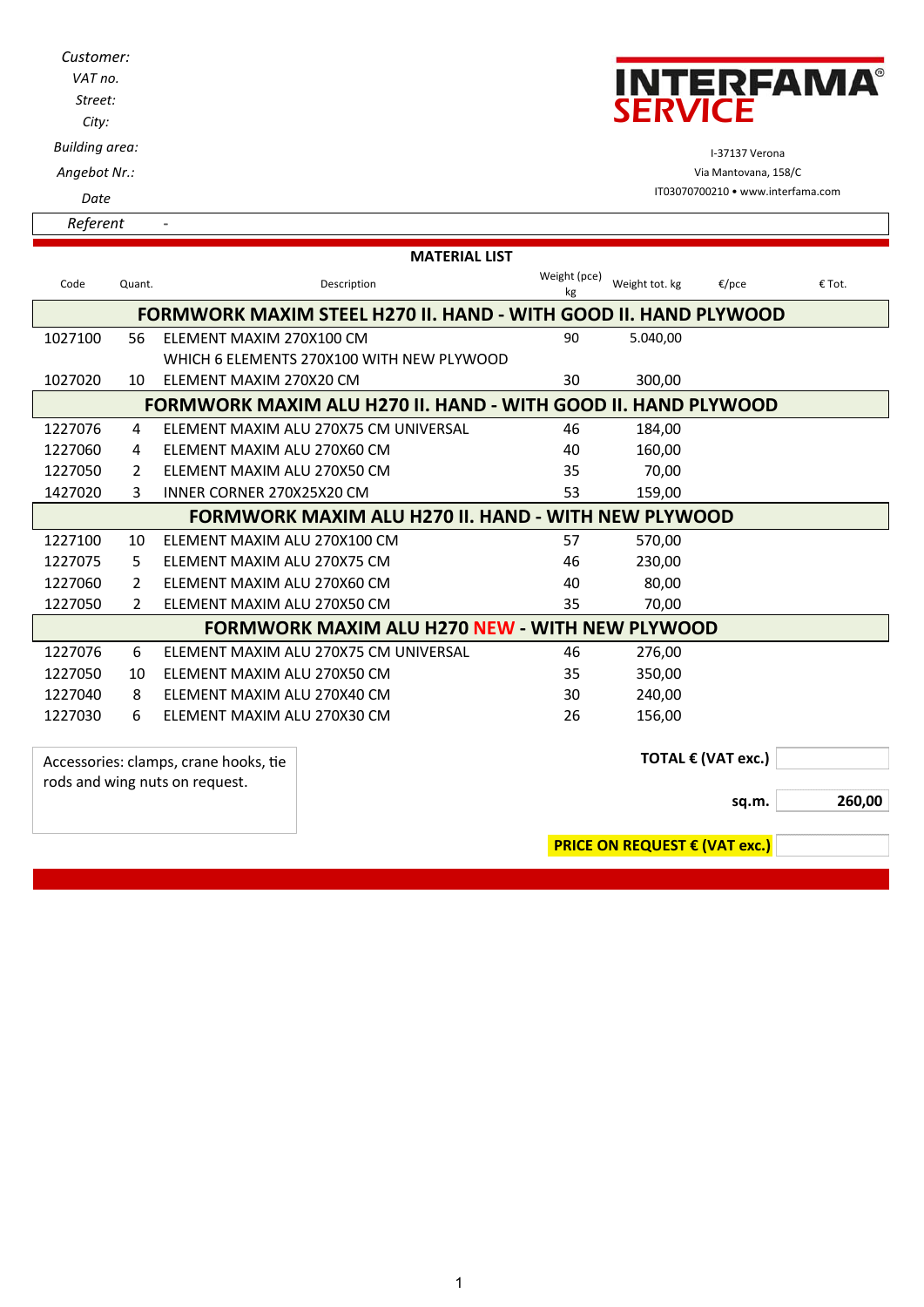| Customer:<br>VAT no.<br>Street:<br>City: |                                     | <b>INTERFAMA®</b><br><b>SERVICE</b>               |
|------------------------------------------|-------------------------------------|---------------------------------------------------|
| <b>Building area:</b>                    |                                     | I-37137 Verona                                    |
| Angebot Nr.:                             |                                     | Via Mantovana, 158/C                              |
| Date                                     |                                     | IT03070700210 • www.interfama.com                 |
| Referent                                 |                                     |                                                   |
| Code<br>Quant.                           | <b>MATERIAL LIST</b><br>Description | Weight (pce)<br>Weight tot. kg<br>€/pce<br>€ Tot. |

| Code                                                                 | Quant.                                                     | Description                               | $\mathbf{v}$ , $\mathbf{v}$ , $\mathbf{v}$ , $\mathbf{v}$<br>kg | Weight tot. kg                       | €/pce | € Tot. |
|----------------------------------------------------------------------|------------------------------------------------------------|-------------------------------------------|-----------------------------------------------------------------|--------------------------------------|-------|--------|
| FORMWORK MAXIM STEEL H270 II. HAND - WITH GOOD II. HAND PLYWOOD      |                                                            |                                           |                                                                 |                                      |       |        |
| 1027100                                                              | 56                                                         | ELEMENT MAXIM 270X100 CM                  | 90                                                              | 5.040,00                             |       |        |
|                                                                      |                                                            | WHICH 6 ELEMENTS 270X100 WITH NEW PLYWOOD |                                                                 |                                      |       |        |
| 1027020                                                              | 10                                                         | ELEMENT MAXIM 270X20 CM                   | 30                                                              | 300,00                               |       |        |
| <b>FORMWORK MAXIM ALU H270 II. HAND - WITH GOOD II. HAND PLYWOOD</b> |                                                            |                                           |                                                                 |                                      |       |        |
| 1227076                                                              | 4                                                          | FLEMENT MAXIM ALU 270X75 CM UNIVERSAL     | 46                                                              | 184,00                               |       |        |
| 1227060                                                              | 4                                                          | ELEMENT MAXIM ALU 270X60 CM               | 40                                                              | 160,00                               |       |        |
| 1227050                                                              | 2                                                          | ELEMENT MAXIM ALU 270X50 CM               | 35                                                              | 70,00                                |       |        |
| 1427020                                                              | 3                                                          | INNER CORNER 270X25X20 CM                 | 53                                                              | 159,00                               |       |        |
|                                                                      | <b>FORMWORK MAXIM ALU H270 II. HAND - WITH NEW PLYWOOD</b> |                                           |                                                                 |                                      |       |        |
| 1227100                                                              | 10                                                         | ELEMENT MAXIM ALU 270X100 CM              | 57                                                              | 570,00                               |       |        |
| 1227075                                                              | 5                                                          | ELEMENT MAXIM ALU 270X75 CM               | 46                                                              | 230,00                               |       |        |
| 1227060                                                              | $\mathcal{P}$                                              | ELEMENT MAXIM ALU 270X60 CM               | 40                                                              | 80,00                                |       |        |
| 1227050                                                              | 2                                                          | ELEMENT MAXIM ALU 270X50 CM               | 35                                                              | 70,00                                |       |        |
| <b>FORMWORK MAXIM ALU H270 NEW - WITH NEW PLYWOOD</b>                |                                                            |                                           |                                                                 |                                      |       |        |
| 1227076                                                              | 6                                                          | ELEMENT MAXIM ALU 270X75 CM UNIVERSAL     | 46                                                              | 276,00                               |       |        |
| 1227050                                                              | 10                                                         | ELEMENT MAXIM ALU 270X50 CM               | 35                                                              | 350,00                               |       |        |
| 1227040                                                              | 8                                                          | ELEMENT MAXIM ALU 270X40 CM               | 30                                                              | 240,00                               |       |        |
| 1227030                                                              | 6                                                          | ELEMENT MAXIM ALU 270X30 CM               | 26                                                              | 156,00                               |       |        |
|                                                                      |                                                            |                                           |                                                                 |                                      |       |        |
| Accessories: clamps, crane hooks, tie                                |                                                            |                                           |                                                                 | TOTAL € (VAT exc.)                   |       |        |
| rods and wing nuts on request.                                       |                                                            |                                           |                                                                 |                                      |       |        |
|                                                                      |                                                            |                                           |                                                                 |                                      | sq.m. | 260,00 |
|                                                                      |                                                            |                                           |                                                                 |                                      |       |        |
|                                                                      |                                                            |                                           |                                                                 | <b>PRICE ON REQUEST € (VAT exc.)</b> |       |        |